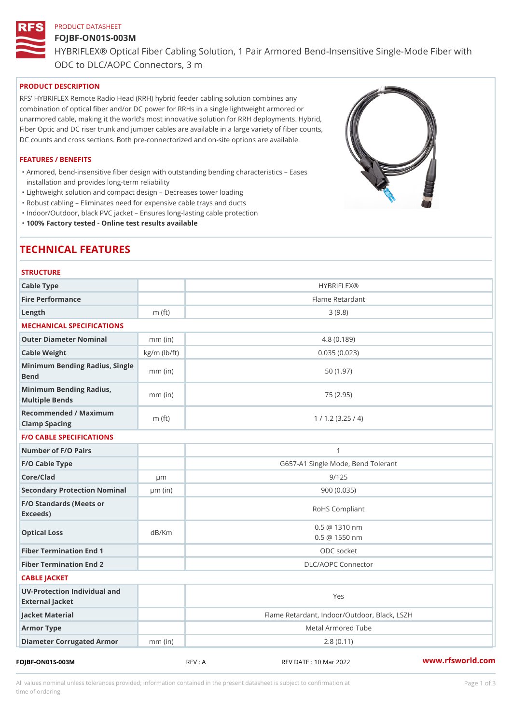# PRODUCT DATASHEET FOJBF-ON01S-003M HYBRIFLEX® Optical Fiber Cabling Solution, 1 Pair Armored Bend-Inse ODC to DLC/AOPC Connectors, 3 m

#### PRODUCT DESCRIPTION

RFS HYBRIFLEX Remote Radio Head (RRH) hybrid feeder cabling solution combines any combination of optical fiber and/or DC power for RRHs in a single lightweight armored or unarmored cable, making it the world s most innovative solution for RRH deployments. Hybrid, Fiber Optic and DC riser trunk and jumper cables are available in a large variety of fiber counts, DC counts and cross sections. Both pre-connectorized and on-site options are available.

#### FEATURES / BENEFITS

Armored, bend-insensitive fiber design with outstanding bending characteristics Eases " installation and provides long-term reliability

"Lightweight solution and compact design Decreases tower loading

"Robust cabling Eliminates need for expensive cable trays and ducts

"Indoor/Outdoor, black PVC jacket Ensures long-lasting cable protection

"100% Factory tested - Online test results available

# TECHNICAL FEATURES

| <b>STRUCTURE</b>                                  |                    |                                              |
|---------------------------------------------------|--------------------|----------------------------------------------|
| Cable Type                                        |                    | <b>HYBRIFLEX®</b>                            |
| Fire Performance                                  |                    | Flame Retardant                              |
| $L$ ength                                         | $m$ (ft)           | 3(9.8)                                       |
| MECHANICAL SPECIFICATIONS                         |                    |                                              |
| Outer Diameter Nominal                            | $mm$ (in)          | 4.8(0.189)                                   |
| Cable Weight                                      | $kg/m$ ( $lb/ft$ ) | 0.035(0.023)                                 |
| Minimum Bending Radius, Single<br>mm (in)<br>Bend |                    | 50(1.97)                                     |
| Minimum Bending Radius, mm (in)<br>Multiple Bends |                    | 75 (2.95)                                    |
| Recommended / Maximum<br>Clamp Spacing            | $m$ (ft)           | 1 / 1.2 (3.25 / 4)                           |
| <b>F/O CABLE SPECIFICATIONS</b>                   |                    |                                              |
| Number of F/O Pairs                               |                    | $\mathbf{1}$                                 |
| F/O Cable Type                                    |                    | G657-A1 Single Mode, Bend Tolerant           |
| Core/Clad                                         | $\mu$ m            | 9/125                                        |
| Secondary Protection Nomimal(in)                  |                    | 900(0.035)                                   |
| F/O Standards (Meets or<br>Exceeds)               |                    | RoHS Compliant                               |
| Optical Loss                                      | dB/Km              | 0.5 @ 1310 nm<br>$0.5 \ @ \ 1550 \ nm$       |
| Fiber Termination End                             |                    | ODC socket                                   |
| Fiber Termination End 2                           |                    | DLC/AOPC Connector                           |
| CABLE JACKET                                      |                    |                                              |
| UV-Protection Individual and<br>External Jacket   |                    | Yes                                          |
| Jacket Material                                   |                    | Flame Retardant, Indoor/Outdoor, Black, LSZH |
| Armor Type                                        |                    | Metal Armored Tube                           |
| Diameter Corrugated Armomm (in)                   |                    | 2.8(0.11)                                    |
|                                                   |                    |                                              |

FOJBF-ON01S-003M REV : A REV DATE : 10 Mar 2022 [www.](https://www.rfsworld.com)rfsworld.com

All values nominal unless tolerances provided; information contained in the present datasheet is subject to Pcapgeign mation time of ordering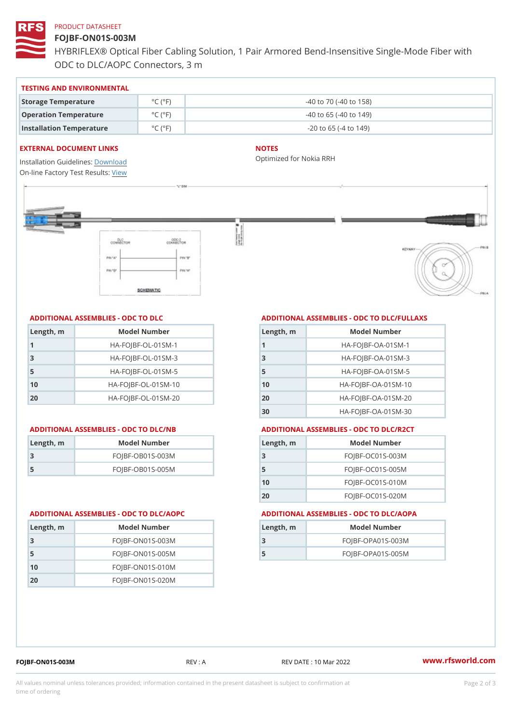## PRODUCT DATASHEET

# FOJBF-ON01S-003M

HYBRIFLEX® Optical Fiber Cabling Solution, 1 Pair Armored Bend-Inse ODC to DLC/AOPC Connectors, 3 m

#### TESTING AND ENVIRONMENTAL

| Storage Temperature              | $^{\circ}$ C ( $^{\circ}$ F $\vert$ | $-40$ to $70$ ( $-40$ to $158$ ) |
|----------------------------------|-------------------------------------|----------------------------------|
| Operation Temperature            | $^{\circ}$ C ( $^{\circ}$ F $\vert$ | $-40$ to 65 ( $-40$ to 149)      |
| Installation Temperature °C (°F) |                                     | $-20$ to 65 ( $-4$ to 149)       |

#### EXTERNAL DOCUMENT LINKS

Installation Guidelwinessad On-line Factory Te[s](https://www.rfsworld.com/pictures/userfiles/programs/AAST Latest Version.zip)teResults:

#### NOTES

Optimized for Nokia RRH

## ADDITIONAL ASSEMBLIES - ODC TO DLC

| Length, m | Model Number                   |
|-----------|--------------------------------|
| 1         | $HA - FOJBF - OL - 01SM - 1$   |
| -3        | $HA-FOJBF-OL-01SM-3$           |
| -5        | $HA - FOJBF - OL - 01SM - 5$   |
| 10        | $HA - FOJBF - O L - 01SM - 10$ |
| 20        | $HA - FOJBF - O L - 01SM - 20$ |

| Length, m | Model Number       |
|-----------|--------------------|
| 3         | $FOJBF-OBO1S-OO3M$ |
| .5        | $FOJBF-OBO1S-OO5M$ |

# ADDITIONAL ASSEMBLIES - ODC TO DLC/FULLAXS

| Length, m      | Model Number                  |
|----------------|-------------------------------|
|                | $HA - FOJBF - OA - 01SM - 1$  |
| 3              | $HA - FOJBF - OA - 01SM - B$  |
| 5              | $HA - FOJBF - OA - 01SM - 5$  |
| 1 <sub>0</sub> | $HA - FOJBF - OA - 01SM - 10$ |
| 20             | $HA - FOJBF - OA - 01SM - 20$ |
| 30             | HA-FOJBF-OA-01SM-30           |

#### ADDITIONAL ASSEMBLIES - ODC TO DLC/NB ADDITIONAL ASSEMBLIES - ODC TO DLC/R2CT

| Length, m | Model Number       |
|-----------|--------------------|
| - 3       | FOJBF-OC01S-003M   |
| 5         | $FOJBF-OCO1S-005M$ |
| 10        | $FOJBF-OCO1S-010M$ |
| 20        | FOJBF-OC01S-020M   |

#### ADDITIONAL ASSEMBLIES - ODC TO DLC/AOPC ADDITIONAL ASSEMBLIES - ODC TO DLC/AOPA

| Length, m | Model Number        |
|-----------|---------------------|
|           | $FOJBF-OPAO1S-003M$ |
| 5         | $FOJBF-OPAO1S-005M$ |
|           |                     |

| Length, m | Model Number       |
|-----------|--------------------|
| -3        | $FOJBF-ONO1S-003M$ |
| 5         | $FOJBF-ONO1S-005M$ |
| 10        | $FOJBF-ONO1S-010M$ |
| 2 O       | $FOJBF-ONO1S-020M$ |

FOJBF-ON01S-003M REV : A REV DATE : 10 Mar 2022 [www.](https://www.rfsworld.com)rfsworld.com

All values nominal unless tolerances provided; information contained in the present datasheet is subject to Pcapgelio an atio time of ordering